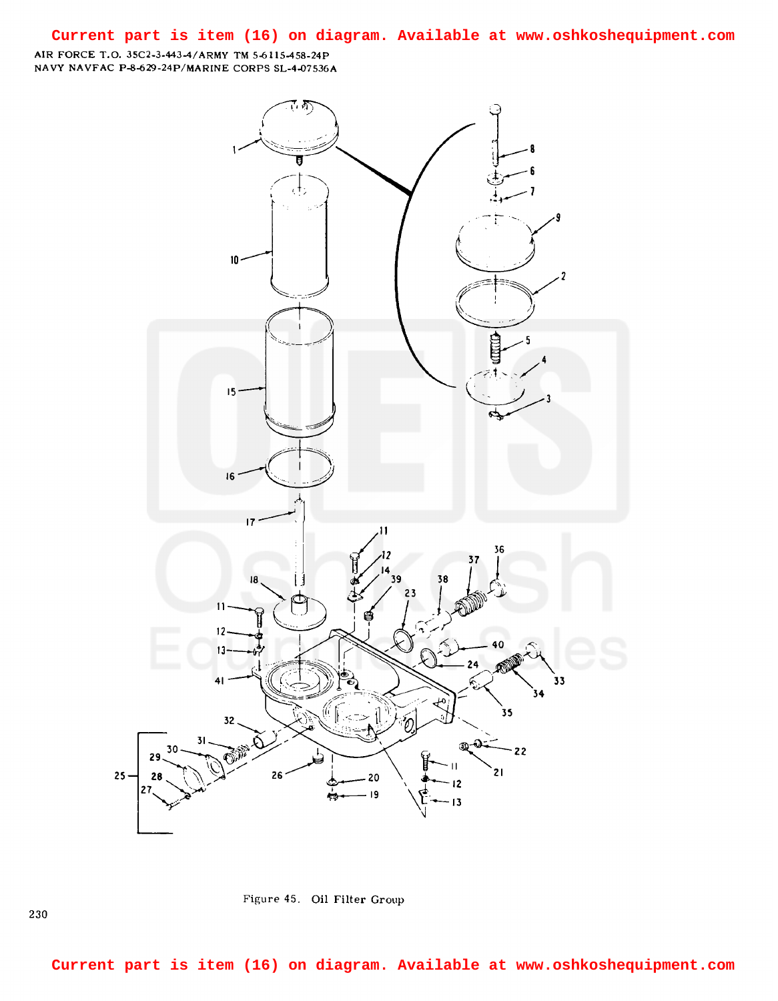## **Current part is item (16) on diagram. Available at www.oshkoshequipment.com**

AIR FORCE T.O. 35C2-3-443-4/ARMY TM 5-6115-458-24P NAVY NAVFAC P-8-629-24P/MARINE CORPS SL-4-07536A



Figure 45. Oil Filter Group

230

**Current part is item (16) on diagram. Available at www.oshkoshequipment.com**